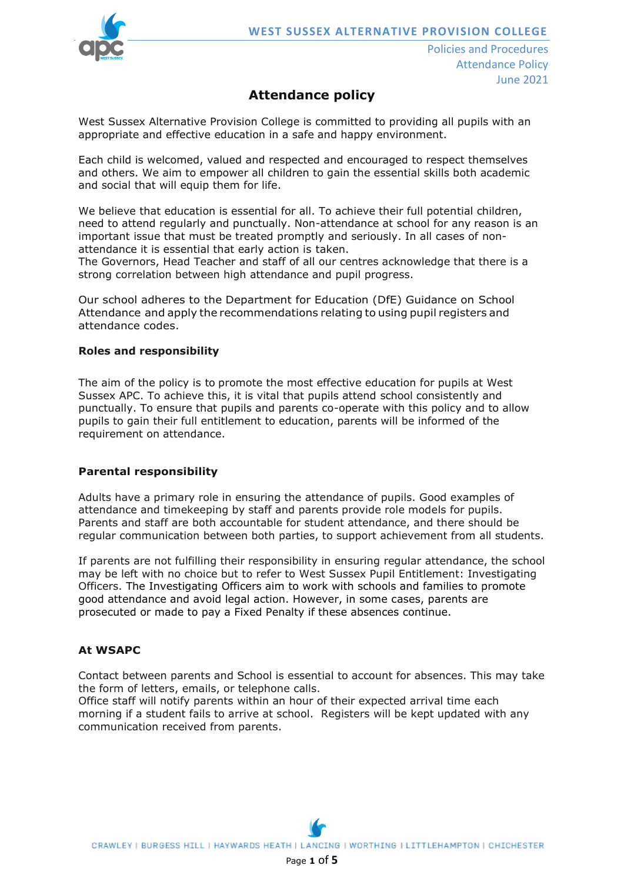

# **Attendance policy**

West Sussex Alternative Provision College is committed to providing all pupils with an appropriate and effective education in a safe and happy environment.

Each child is welcomed, valued and respected and encouraged to respect themselves and others. We aim to empower all children to gain the essential skills both academic and social that will equip them for life.

We believe that education is essential for all. To achieve their full potential children, need to attend regularly and punctually. Non-attendance at school for any reason is an important issue that must be treated promptly and seriously. In all cases of nonattendance it is essential that early action is taken.

The Governors, Head Teacher and staff of all our centres acknowledge that there is a strong correlation between high attendance and pupil progress.

Our school adheres to the Department for Education (DfE) Guidance on School Attendance and apply the recommendations relating to using pupil registers and attendance codes.

## **Roles and responsibility**

The aim of the policy is to promote the most effective education for pupils at West Sussex APC. To achieve this, it is vital that pupils attend school consistently and punctually. To ensure that pupils and parents co-operate with this policy and to allow pupils to gain their full entitlement to education, parents will be informed of the requirement on attendance.

## **Parental responsibility**

Adults have a primary role in ensuring the attendance of pupils. Good examples of attendance and timekeeping by staff and parents provide role models for pupils. Parents and staff are both accountable for student attendance, and there should be regular communication between both parties, to support achievement from all students.

If parents are not fulfilling their responsibility in ensuring regular attendance, the school may be left with no choice but to refer to West Sussex Pupil Entitlement: Investigating Officers. The Investigating Officers aim to work with schools and families to promote good attendance and avoid legal action. However, in some cases, parents are prosecuted or made to pay a Fixed Penalty if these absences continue.

#### **At WSAPC**

Contact between parents and School is essential to account for absences. This may take the form of letters, emails, or telephone calls.

Office staff will notify parents within an hour of their expected arrival time each morning if a student fails to arrive at school. Registers will be kept updated with any communication received from parents.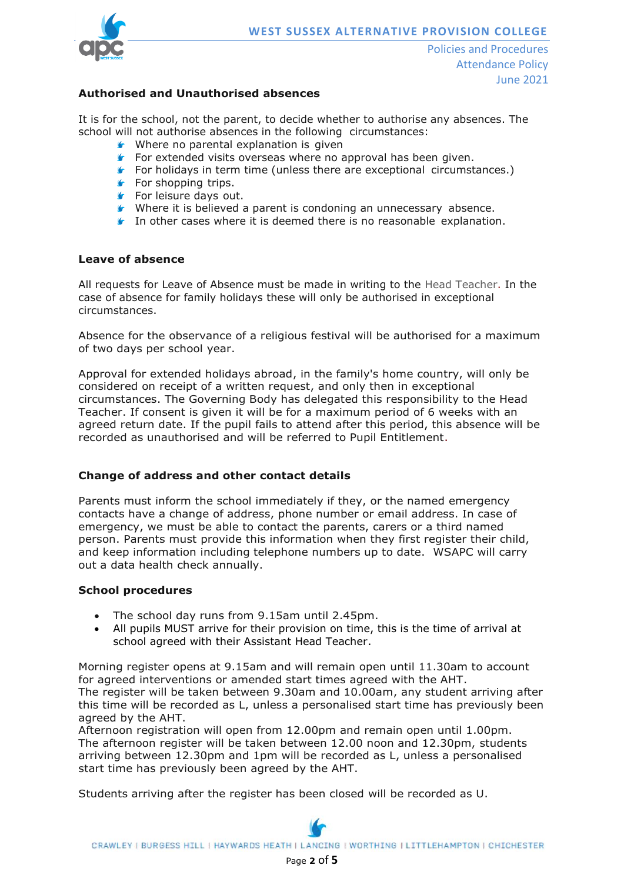

## **Authorised and Unauthorised absences**

It is for the school, not the parent, to decide whether to authorise any absences. The school will not authorise absences in the following circumstances:

- Where no parental explanation is given
- For extended visits overseas where no approval has been given.
- **F** For holidays in term time (unless there are exceptional circumstances.)
- $\blacktriangleright$  For shopping trips.
- **For leisure days out.**
- Where it is believed a parent is condoning an unnecessary absence.
- **In other cases where it is deemed there is no reasonable explanation.**

#### **Leave of absence**

All requests for Leave of Absence must be made in writing to the Head Teacher. In the case of absence for family holidays these will only be authorised in exceptional circumstances.

Absence for the observance of a religious festival will be authorised for a maximum of two days per school year.

Approval for extended holidays abroad, in the family's home country, will only be considered on receipt of a written request, and only then in exceptional circumstances. The Governing Body has delegated this responsibility to the Head Teacher. If consent is given it will be for a maximum period of 6 weeks with an agreed return date. If the pupil fails to attend after this period, this absence will be recorded as unauthorised and will be referred to Pupil Entitlement.

#### **Change of address and other contact details**

Parents must inform the school immediately if they, or the named emergency contacts have a change of address, phone number or email address. In case of emergency, we must be able to contact the parents, carers or a third named person. Parents must provide this information when they first register their child, and keep information including telephone numbers up to date. WSAPC will carry out a data health check annually.

#### **School procedures**

- The school day runs from 9.15am until 2.45pm.
- All pupils MUST arrive for their provision on time, this is the time of arrival at school agreed with their Assistant Head Teacher.

Morning register opens at 9.15am and will remain open until 11.30am to account for agreed interventions or amended start times agreed with the AHT. The register will be taken between 9.30am and 10.00am, any student arriving after this time will be recorded as L, unless a personalised start time has previously been agreed by the AHT.

Afternoon registration will open from 12.00pm and remain open until 1.00pm. The afternoon register will be taken between 12.00 noon and 12.30pm, students arriving between 12.30pm and 1pm will be recorded as L, unless a personalised start time has previously been agreed by the AHT.

Students arriving after the register has been closed will be recorded as U.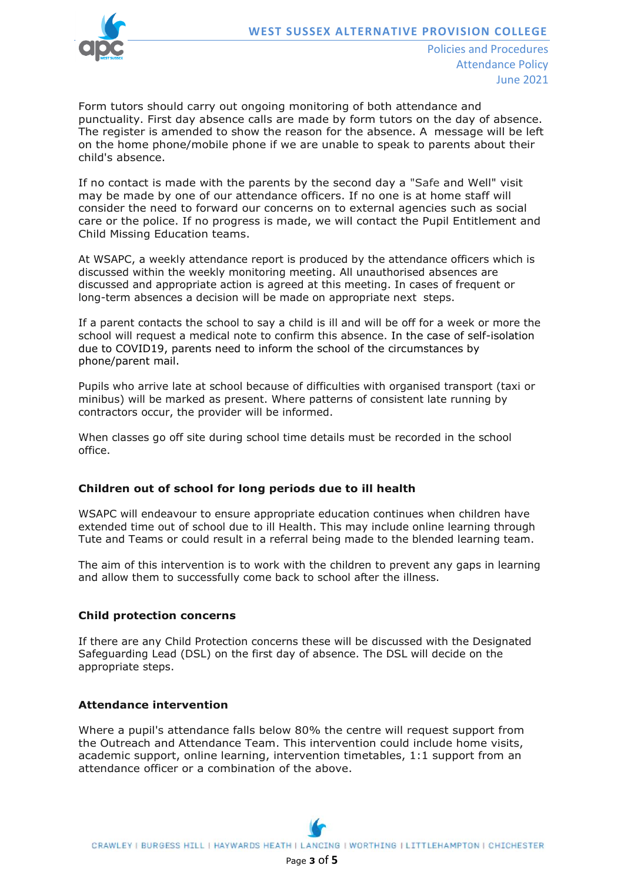

Policies and Procedures Attendance Policy June 2021

Form tutors should carry out ongoing monitoring of both attendance and punctuality. First day absence calls are made by form tutors on the day of absence. The register is amended to show the reason for the absence. A message will be left on the home phone/mobile phone if we are unable to speak to parents about their child's absence.

If no contact is made with the parents by the second day a "Safe and Well" visit may be made by one of our attendance officers. If no one is at home staff will consider the need to forward our concerns on to external agencies such as social care or the police. If no progress is made, we will contact the Pupil Entitlement and Child Missing Education teams.

At WSAPC, a weekly attendance report is produced by the attendance officers which is discussed within the weekly monitoring meeting. All unauthorised absences are discussed and appropriate action is agreed at this meeting. In cases of frequent or long-term absences a decision will be made on appropriate next steps.

If a parent contacts the school to say a child is ill and will be off for a week or more the school will request a medical note to confirm this absence. In the case of self-isolation due to COVID19, parents need to inform the school of the circumstances by phone/parent mail.

Pupils who arrive late at school because of difficulties with organised transport (taxi or minibus) will be marked as present. Where patterns of consistent late running by contractors occur, the provider will be informed.

When classes go off site during school time details must be recorded in the school office.

## **Children out of school for long periods due to ill health**

WSAPC will endeavour to ensure appropriate education continues when children have extended time out of school due to ill Health. This may include online learning through Tute and Teams or could result in a referral being made to the blended learning team.

The aim of this intervention is to work with the children to prevent any gaps in learning and allow them to successfully come back to school after the illness.

#### **Child protection concerns**

If there are any Child Protection concerns these will be discussed with the Designated Safeguarding Lead (DSL) on the first day of absence. The DSL will decide on the appropriate steps.

#### **Attendance intervention**

Where a pupil's attendance falls below 80% the centre will request support from the Outreach and Attendance Team. This intervention could include home visits, academic support, online learning, intervention timetables, 1:1 support from an attendance officer or a combination of the above.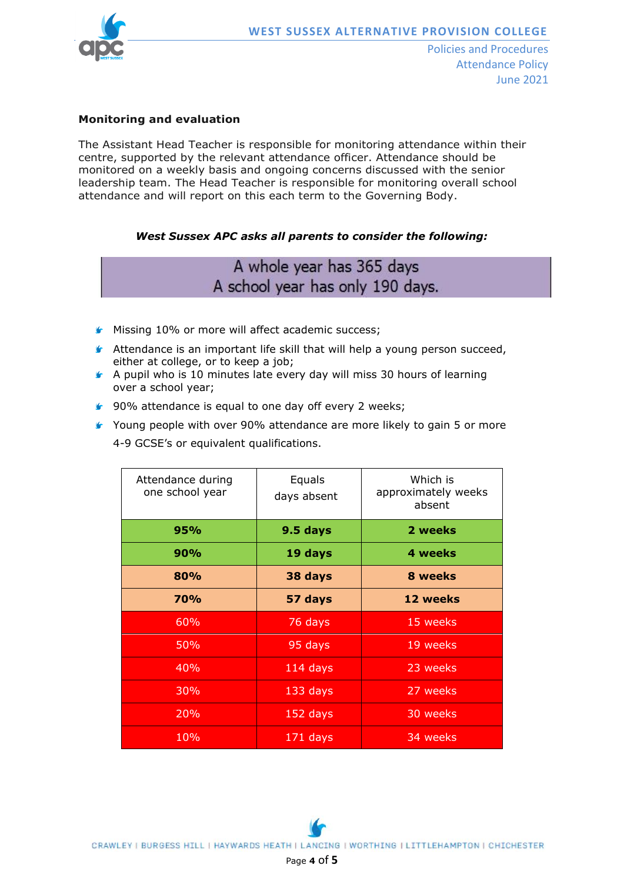

## **Monitoring and evaluation**

The Assistant Head Teacher is responsible for monitoring attendance within their centre, supported by the relevant attendance officer. Attendance should be monitored on a weekly basis and ongoing concerns discussed with the senior leadership team. The Head Teacher is responsible for monitoring overall school attendance and will report on this each term to the Governing Body.

## *West Sussex APC asks all parents to consider the following:*

# A whole year has 365 days A school year has only 190 days.

- **Missing 10% or more will affect academic success;**
- $\blacktriangleright$  Attendance is an important life skill that will help a young person succeed, either at college, or to keep a job;
- A pupil who is 10 minutes late every day will miss 30 hours of learning over a school year;
- ▲ 90% attendance is equal to one day off every 2 weeks;
- Young people with over 90% attendance are more likely to gain 5 or more 4-9 GCSE's or equivalent qualifications.

| Attendance during<br>one school year | Equals<br>days absent | Which is<br>approximately weeks<br>absent |
|--------------------------------------|-----------------------|-------------------------------------------|
| 95%                                  | 9.5 days              | 2 weeks                                   |
| 90%                                  | 19 days               | 4 weeks                                   |
| 80%                                  | 38 days               | 8 weeks                                   |
| 70%                                  | 57 days               | 12 weeks                                  |
| 60%                                  | 76 days               | 15 weeks                                  |
| <b>50%</b>                           | 95 days               | 19 weeks                                  |
| 40%                                  | 114 days              | 23 weeks                                  |
| <b>30%</b>                           | $133$ days            | 27 weeks                                  |
| 20%                                  | 152 days              | 30 weeks                                  |
| 10%                                  | 171 days              | 34 weeks                                  |